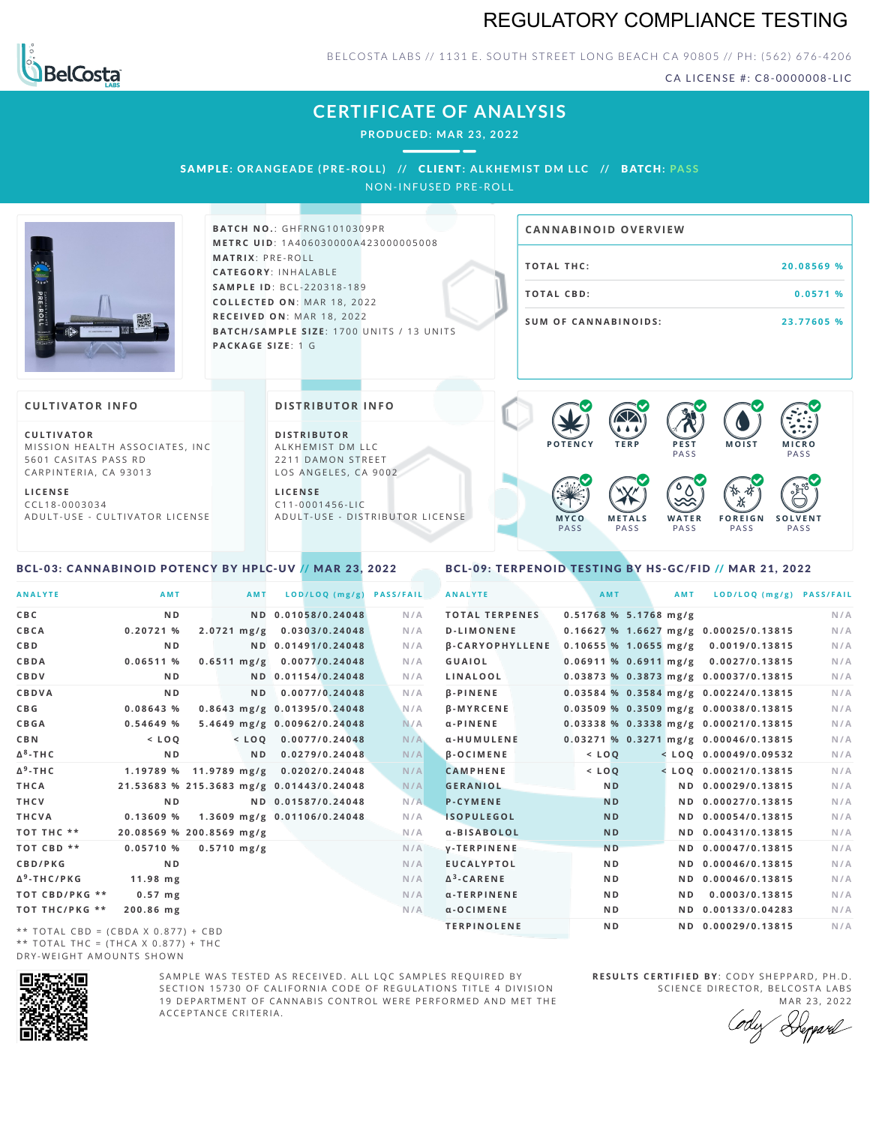# REGULATORY COMPLIANCE TESTING



BELCOSTA LABS // 1131 E. SOUTH STREET LONG BEACH CA 90805 // PH: (562) 676-4206

CA LICENSE #: C8-0000008-LIC

# **CERTIFICATE OF ANALYSIS**

**PRODUCED: MA R 23, 2022**

SAMPL E **:OR ANGE ADE (PRE -ROL L ) //** CL I ENT**: A LKHEMI ST DM L LC //** BATCH**: PA S S**

NON-INFUSED PRE-ROLL



**BAT C H N O .**: G H F R N G 1 0 1 0 3 0 9 P R **M E T R C U ID** :1 A 4 0 6 0 3 0 0 0 0 A 4 2 3 0 0 0 0 0 5 0 0 8 **M AT R I X** :P R E - R O L L **CAT E G O R Y** : I N H A L A B L E **SA M P L E I D** :B C L - 2 2 0 3 1 8 - 1 8 9  $COLLECTED ON: MAR 18, 2022$ **R E C E I V E D O N** : M A R 1 8 ,2 0 2 2 **BATCH/SAMPLE SIZE:** 1700 UNITS / 13 UNITS **PAC KA G E S I Z E** : 1 G

# **T O TAL T H C :2 0 . 0 8 5 6 9 % T O TAL CB D :0 . 0 5 7 1 % S U M O F CA N N ABI N O I D S : 2 3 . 7 7 6 0 5 % CA N N ABI N OID OVERVI EW**

### **CULTIVATOR I N FO**

**C U L T I VAT O R** MISSION HEALTH ASSOCIATES, INC. 5601 CASITAS PASS RD CARPINTERIA, CA 93013

**L I C E N S E** C C L 1 8 - 0 0 0 3 0 3 4 A D U L T - U S E - C U L T I V A T O R L I C E N S E

<span id="page-0-0"></span>BCL-03: CANNABINOID POTENCY BY HPLC-UV // MAR 23, 2022

### **DI STRIBUTOR I N FO**

**D I S T R IB U T O R** ALKHEMIST DM LLC 2211 DAMON STREET LOS ANGELES, CA 9002

**L I C E N S E** C 1 1 - 0 0 0 1 4 5 6 - L I C A D U L T - U S E - D I STRI B U T O R LICENSE



<span id="page-0-1"></span>BCL-09: TERPENOID TESTING BY HS-GC/FID // MAR 21, 2022

| <b>ANALYTE</b>          | AMT                                      | AMT                   | LOD/LOQ (mg/g)              | <b>PASS/FAIL</b> | <b>ANALYTE</b>         | AMT                     | AMT | LOD/LOQ (mg/g) PASS/FAIL                |     |
|-------------------------|------------------------------------------|-----------------------|-----------------------------|------------------|------------------------|-------------------------|-----|-----------------------------------------|-----|
| C B C                   | N <sub>D</sub>                           |                       | ND 0.01058/0.24048          | N/A              | <b>TOTAL TERPENES</b>  | $0.51768$ % 5.1768 mg/g |     |                                         | N/A |
| CBCA                    | 0.20721%                                 |                       | 2.0721 mg/g 0.0303/0.24048  | N/A              | <b>D-LIMONENE</b>      |                         |     | $0.16627$ % 1.6627 mg/g 0.00025/0.13815 | N/A |
| C B D                   | N <sub>D</sub>                           |                       | ND 0.01491/0.24048          | N/A              | <b>B-CARYOPHYLLENE</b> |                         |     | $0.10655$ % 1.0655 mg/g 0.0019/0.13815  | N/A |
| CBDA                    | 0.06511%                                 |                       | 0.6511 mg/g 0.0077/0.24048  | N/A              | GUAIOL                 |                         |     | 0.06911 % 0.6911 mg/g 0.0027/0.13815    | N/A |
| CBDV                    | N <sub>D</sub>                           |                       | ND 0.01154/0.24048          | N/A              | LINALOOL               |                         |     | 0.03873 % 0.3873 mg/g 0.00037/0.13815   | N/A |
| CBDVA                   | N <sub>D</sub>                           | N <sub>D</sub>        | 0.0077/0.24048              | N/A              | <b>B-PINENE</b>        |                         |     | 0.03584 % 0.3584 mg/g 0.00224/0.13815   | N/A |
| C B G                   | 0.08643%                                 |                       | 0.8643 mg/g 0.01395/0.24048 | N/A              | <b>B-MYRCENE</b>       |                         |     | 0.03509 % 0.3509 mg/g 0.00038/0.13815   | N/A |
| <b>CBGA</b>             | 0.54649%                                 |                       | 5.4649 mg/g 0.00962/0.24048 | N/A              | $\alpha$ -PINENE       |                         |     | 0.03338 % 0.3338 mg/g 0.00021/0.13815   | N/A |
| C B N                   | $<$ LOQ                                  |                       | $<$ LOQ 0.0077/0.24048      | N/A              | α-HUMULENE             |                         |     | 0.03271 % 0.3271 mg/g 0.00046/0.13815   | N/A |
| Δ <sup>8</sup> -ΤΗC     | N <sub>D</sub>                           |                       | ND 0.0279/0.24048           | N/A              | $\beta$ -OCIMENE       | $<$ LOQ                 |     | $<$ LOQ 0.00049/0.09532                 | N/A |
| Δ <sup>9</sup> -ΤΗ C    | 1.19789 % 11.9789 mg/g 0.0202/0.24048    |                       |                             | N/A              | <b>CAMPHENE</b>        | $<$ $LOQ$               |     | $<$ LOO 0.00021/0.13815                 | N/A |
| THCA                    | 21.53683 % 215.3683 mg/g 0.01443/0.24048 |                       |                             | N/A              | <b>GERANIOL</b>        | N <sub>D</sub>          |     | ND 0.00029/0.13815                      | N/A |
| THCV                    | N <sub>D</sub>                           |                       | ND 0.01587/0.24048          | N/A              | <b>P-CYMENE</b>        | <b>ND</b>               |     | ND 0.00027/0.13815                      | N/A |
| THCVA                   | 0.13609%                                 |                       | 1.3609 mg/g 0.01106/0.24048 | N/A              | <b>ISOPULEGOL</b>      | <b>ND</b>               |     | ND 0.00054/0.13815                      | N/A |
| тот тнс **              | 20.08569 % 200.8569 mg/g                 |                       |                             | N/A              | α-BISABOLOL            | <b>ND</b>               |     | ND 0.00431/0.13815                      | N/A |
| TOT CBD **              | 0.05710%                                 | $0.5710 \text{ mg/g}$ |                             | N/A              | <b>V-TERPINENE</b>     | <b>ND</b>               |     | ND 0.00047/0.13815                      | N/A |
| CBD/PKG                 | N <sub>D</sub>                           |                       |                             | N/A              | <b>EUCALYPTOL</b>      | ND.                     |     | ND 0.00046/0.13815                      | N/A |
| Δ <sup>9</sup> -THC/PKG | $11.98$ mg                               |                       |                             | N/A              | $\Delta^3$ -CARENE     | ND.                     |     | ND 0.00046/0.13815                      | N/A |
| TOT CBD/PKG **          | $0.57$ mg                                |                       |                             | N/A              | α-TERPINENE            | N <sub>D</sub>          | N D | 0.0003/0.13815                          | N/A |
| ТОТ ТНС/РКG **          | 200.86 mg                                |                       |                             | N/A              | $\alpha$ -OCIMENE      | ND.                     |     | ND 0.00133/0.04283                      | N/A |
|                         |                                          |                       |                             |                  | <b>TERPINOLENE</b>     | ND.                     |     | ND 0.00029/0.13815                      | N/A |

\*\* TOTAL CBD = (CBDA X 0.877) + CBD \*\* TOTAL THC =  $(THCA X 0.877) + THC$ DRY-WEIGHT AMOUNTS SHOWN



SAMPLE WAS TESTED AS RECEIVED. ALL LOC SAMPLES REQUIRED BY SECTION 15730 OF CALIFORNIA CODE OF REGULATIONS TITLE 4 DIVISION 19 DEPARTMENT OF CANNABIS CONTROL WERE PERFORMED AND MET THE A C C E P T A N C E C R I T E R I A .

**R E S U L T S C E R T I F I E D BY** : C O D Y S H E P P A R D ,P H .D . SCIENCE DIRECTOR, BELCOSTA LABS

MAR 23, 2022 Heppard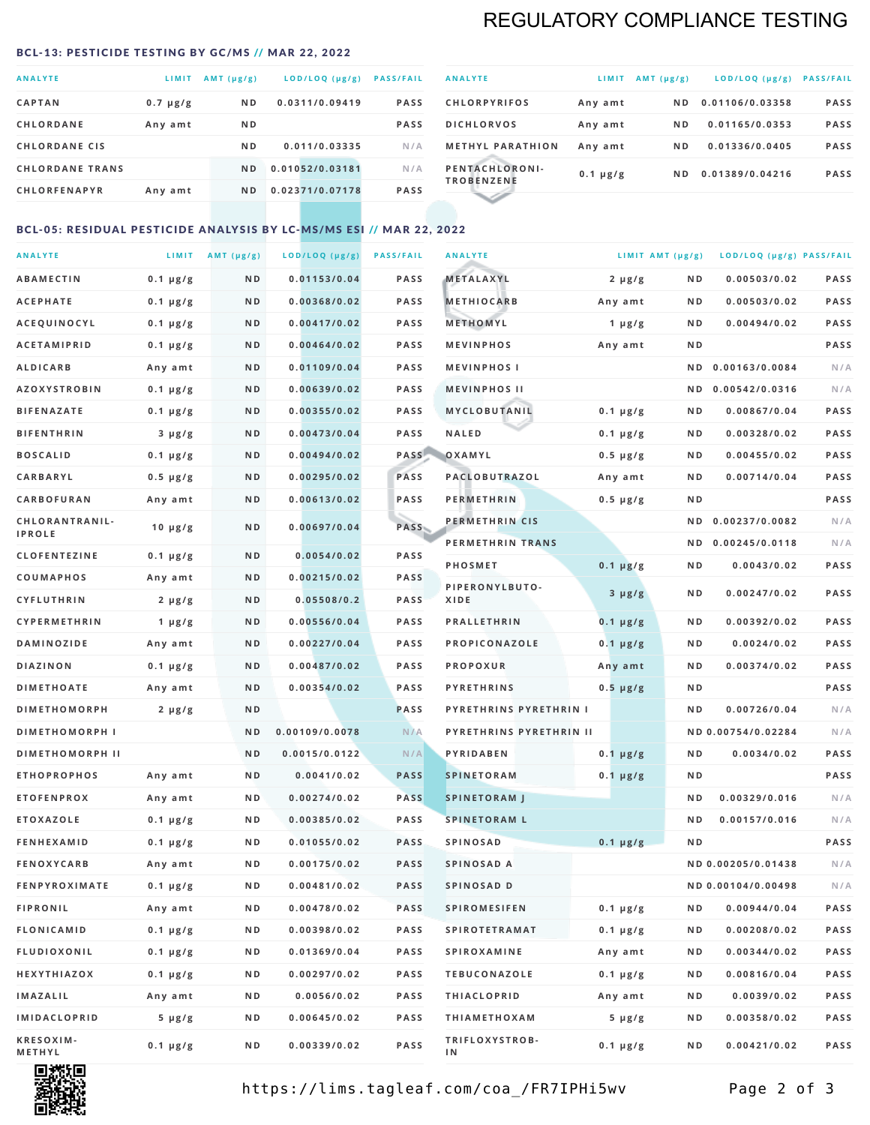# REGULATORY COMPLIANCE TESTING

#### <span id="page-1-0"></span>BCL-13: PESTICIDE TESTING BY GC/MS // MAR 22, 2022

| <b>ANALYTE</b>         | LIMIT         | $AMT(\mu g/g)$ | LOD/LOQ (µg/g)  | <b>PASS/FAIL</b> |
|------------------------|---------------|----------------|-----------------|------------------|
| <b>CAPTAN</b>          | $0.7 \mu g/g$ | N <sub>D</sub> | 0.0311/0.09419  | <b>PASS</b>      |
| <b>CHLORDANE</b>       | Any amt       | N <sub>D</sub> |                 | <b>PASS</b>      |
| <b>CHLORDANE CIS</b>   |               | N <sub>D</sub> | 0.011/0.03335   | N/A              |
| <b>CHLORDANE TRANS</b> |               | ND.            | 0.01052/0.03181 | N/A              |
| <b>CHLORFENAPYR</b>    | Any amt       | N <sub>D</sub> | 0.02371/0.07178 | <b>PASS</b>      |
|                        |               |                |                 |                  |

| <b>ANALYTE</b>                      | LIMIT         | $AMT (\mu g/g)$ | LOD/LOQ (µg/g)  | <b>PASS/FAIL</b> |
|-------------------------------------|---------------|-----------------|-----------------|------------------|
| <b>CHLORPYRIFOS</b>                 | Any amt       | N D             | 0.01106/0.03358 | <b>PASS</b>      |
| <b>DICHLORVOS</b>                   | Any amt       | ND.             | 0.01165/0.0353  | <b>PASS</b>      |
| <b>METHYL PARATHION</b>             | Any amt       | ND.             | 0.01336/0.0405  | <b>PASS</b>      |
| PENTACHLORONI-<br><b>TROBENZENE</b> | $0.1 \mu g/g$ | ND.             | 0.01389/0.04216 | <b>PASS</b>      |
|                                     |               |                 |                 |                  |

### BCL-05: RESIDUAL PESTICIDE ANALYSIS BY LC-MS/MS ESI // MAR 22, 2022

| <b>ANALYTE</b>             |               | LIMIT $AMT (\mu g/g)$ | LOD/LOQ (µg/g) | <b>PASS/FAIL</b> | <b>ANALYTE</b>          |               | LIMIT AMT $(\mu g/g)$ | LOD/LOQ (µg/g) PASS/FAIL |             |
|----------------------------|---------------|-----------------------|----------------|------------------|-------------------------|---------------|-----------------------|--------------------------|-------------|
| ABAMECTIN                  | $0.1 \mu g/g$ | ND                    | 0.01153/0.04   | <b>PASS</b>      | METALAXYL               | $2 \mu g/g$   | N D                   | 0.00503/0.02             | <b>PASS</b> |
| <b>ACEPHATE</b>            | $0.1 \mu g/g$ | N D                   | 0.00368/0.02   | <b>PASS</b>      | <b>METHIOCARB</b>       | Any amt       | N D                   | 0.00503/0.02             | PASS        |
| <b>ACEQUINOCYL</b>         | $0.1 \mu g/g$ | N D                   | 0.00417/0.02   | <b>PASS</b>      | METHOMYL                | 1 $\mu$ g/g   | N D                   | 0.00494/0.02             | PASS        |
| <b>ACETAMIPRID</b>         | $0.1 \mu g/g$ | N D                   | 0.00464/0.02   | <b>PASS</b>      | <b>MEVINPHOS</b>        | Any amt       | N D                   |                          | PASS        |
| <b>ALDICARB</b>            | Any amt       | N D                   | 0.01109/0.04   | <b>PASS</b>      | <b>MEVINPHOSI</b>       |               | N D                   | 0.00163/0.0084           | N/A         |
| <b>AZOXYSTROBIN</b>        | $0.1 \mu g/g$ | N D                   | 0.00639/0.02   | <b>PASS</b>      | <b>MEVINPHOS II</b>     |               | N D                   | 0.00542/0.0316           | N/A         |
| <b>BIFENAZATE</b>          | $0.1 \mu g/g$ | N D                   | 0.00355/0.02   | <b>PASS</b>      | MYCLOBUTANIL            | $0.1 \mu g/g$ | N D                   | 0.00867/0.04             | PASS        |
| <b>BIFENTHRIN</b>          | $3 \mu g/g$   | ND                    | 0.00473/0.04   | <b>PASS</b>      | <b>NALED</b>            | $0.1 \mu g/g$ | N D                   | 0.00328/0.02             | PASS        |
| <b>BOSCALID</b>            | $0.1 \mu g/g$ | N D                   | 0.00494/0.02   | PASS             | OXAMYL                  | $0.5 \mu g/g$ | N D                   | 0.00455/0.02             | <b>PASS</b> |
| <b>CARBARYL</b>            | $0.5 \mu g/g$ | ND                    | 0.00295/0.02   | PASS             | PACLOBUTRAZOL           | Any amt       | ND.                   | 0.00714/0.04             | PASS        |
| CARBOFURAN                 | Any amt       | N D                   | 0.00613/0.02   | <b>PASS</b>      | <b>PERMETHRIN</b>       | $0.5 \mu g/g$ | N D                   |                          | PASS        |
| CHLORANTRANIL-             | $10 \mu g/g$  | N D                   | 0.00697/0.04   | PASS             | PERMETHRIN CIS          |               | N D                   | 0.00237/0.0082           | N/A         |
| <b>IPROLE</b>              |               |                       |                |                  | PERMETHRIN TRANS        |               | N D                   | 0.00245/0.0118           | N/A         |
| <b>CLOFENTEZINE</b>        | $0.1 \mu g/g$ | N D                   | 0.0054/0.02    | <b>PASS</b>      | PHOSMET                 | $0.1 \mu g/g$ | N D                   | 0.0043/0.02              | PASS        |
| COUMAPHOS                  | Any amt       | N D                   | 0.00215/0.02   | <b>PASS</b>      | PIPERONYLBUTO-          | $3 \mu g/g$   | N D                   | 0.00247/0.02             | PASS        |
| <b>CYFLUTHRIN</b>          | $2 \mu g/g$   | N D                   | 0.05508/0.2    | <b>PASS</b>      | XIDE                    |               |                       |                          |             |
| <b>CYPERMETHRIN</b>        | 1 $\mu$ g/g   | ND                    | 0.00556/0.04   | <b>PASS</b>      | <b>PRALLETHRIN</b>      | $0.1 \mu g/g$ | ND.                   | 0.00392/0.02             | PASS        |
| <b>DAMINOZIDE</b>          | Any amt       | N D                   | 0.00227/0.04   | <b>PASS</b>      | PROPICONAZOLE           | $0.1 \mu g/g$ | N D                   | 0.0024/0.02              | PASS        |
| <b>DIAZINON</b>            | $0.1 \mu g/g$ | N D                   | 0.00487/0.02   | <b>PASS</b>      | <b>PROPOXUR</b>         | Any amt       | N D                   | 0.00374/0.02             | PASS        |
| <b>DIMETHOATE</b>          | Any amt       | N D                   | 0.00354/0.02   | <b>PASS</b>      | <b>PYRETHRINS</b>       | $0.5 \mu g/g$ | N D                   |                          | PASS        |
| <b>DIMETHOMORPH</b>        | $2 \mu g/g$   | N D                   |                | <b>PASS</b>      | PYRETHRINS PYRETHRIN I  |               | ND                    | 0.00726/0.04             | N/A         |
| <b>DIMETHOMORPH I</b>      |               | N D                   | 0.00109/0.0078 | N/A              | PYRETHRINS PYRETHRIN II |               |                       | ND 0.00754/0.02284       | N/A         |
| <b>DIMETHOMORPH II</b>     |               | ND                    | 0.0015/0.0122  | N/A              | PYRIDABEN               | $0.1 \mu g/g$ | N D                   | 0.0034/0.02              | <b>PASS</b> |
| <b>ETHOPROPHOS</b>         | Any amt       | N D                   | 0.0041/0.02    | <b>PASS</b>      | <b>SPINETORAM</b>       | $0.1 \mu g/g$ | ND.                   |                          | PASS        |
| <b>ETOFENPROX</b>          | Any amt       | N D                   | 0.00274/0.02   | <b>PASS</b>      | <b>SPINETORAM J</b>     |               | N D                   | 0.00329/0.016            | N/A         |
| <b>ETOXAZOLE</b>           | $0.1 \mu g/g$ | N D                   | 0.00385/0.02   | <b>PASS</b>      | <b>SPINETORAM L</b>     |               | ND                    | 0.00157/0.016            | N/A         |
| <b>FENHEXAMID</b>          | $0.1 \mu g/g$ | N D                   | 0.01055/0.02   | <b>PASS</b>      | <b>SPINOSAD</b>         | $0.1 \mu g/g$ | ND                    |                          | PASS        |
| <b>FENOXYCARB</b>          | Any amt       | N D                   | 0.00175/0.02   | <b>PASS</b>      | SPINOSAD A              |               |                       | ND 0.00205/0.01438       | N/A         |
| <b>FENPYROXIMATE</b>       | $0.1 \mu g/g$ | N D                   | 0.00481/0.02   | <b>PASS</b>      | SPINOSAD D              |               |                       | ND 0.00104/0.00498       | N/A         |
| <b>FIPRONIL</b>            | Any amt       | N D                   | 0.00478/0.02   | <b>PASS</b>      | <b>SPIROMESIFEN</b>     | $0.1 \mu g/g$ | N D                   | 0.00944/0.04             | PASS        |
| FLONICAMID                 | $0.1 \mu g/g$ | N D                   | 0.00398/0.02   | PASS             | <b>SPIROTETRAMAT</b>    | $0.1 \mu g/g$ | N D                   | 0.00208/0.02             | PASS        |
| <b>FLUDIOXONIL</b>         | $0.1 \mu g/g$ | N D                   | 0.01369/0.04   | PASS             | <b>SPIROXAMINE</b>      | Any amt       | N D                   | 0.00344/0.02             | PASS        |
| HEXYTHIAZOX                | $0.1 \mu g/g$ | N D                   | 0.00297/0.02   | PASS             | <b>TEBUCONAZOLE</b>     | $0.1 \mu g/g$ | ND.                   | 0.00816/0.04             | PASS        |
| IMAZALIL                   | Any amt       | N D                   | 0.0056/0.02    | PASS             | <b>THIACLOPRID</b>      | Any amt       | N D                   | 0.0039/0.02              | PASS        |
| IMIDACLOPRID               | $5 \mu g/g$   | N D                   | 0.00645/0.02   | PASS             | <b>THIAMETHOXAM</b>     | $5 \mu g/g$   | N D                   | 0.00358/0.02             | PASS        |
| <b>KRESOXIM-</b><br>METHYL | $0.1 \mu g/g$ | N D                   | 0.00339/0.02   | PASS             | TRIFLOXYSTROB-<br>IN.   | $0.1 \mu g/g$ | N D                   | 0.00421/0.02             | PASS        |